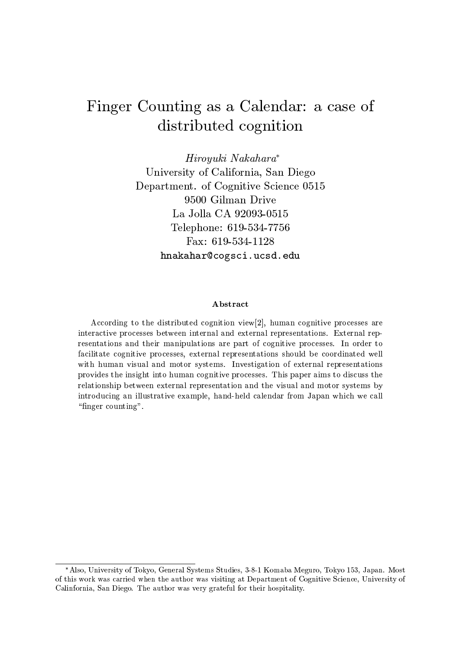# Finger Counting as a Calendar: a case of distributed cognition

Hiroyuki Nakahara\* University of California, San Diego Department. of Cognitive Science 0515 9500 Gilman Drive La Jolla CA 92093-0515 Telephone: 619-534-7756 Fax:  $619-534-1128$ hnakahar@cogsci.ucsd.edu

# Abstract

According to the distributed cognition view[2], human cognitive processes are interactive processes between internal and external representations. External representations and their manipulations are part of cognitive processes. In order to facilitate cognitive processes, external representations should be coordinated well with human visual and motor systems. Investigation of external representations provides the insight into human cognitive processes. This paper aims to discuss the relationship between external representation and the visual and motor systems by introducing an illustrative example, hand-held calendar from Japan which we call "finger counting".

<sup>\*</sup>Also, University of Tokyo, General Systems Studies, 3-8-1 Komaba Meguro, Tokyo 153, Japan. Most of this work was carried when the author was visiting at Department of Cognitive Science, University of Calinfornia, San Diego. The author was very grateful for their hospitality.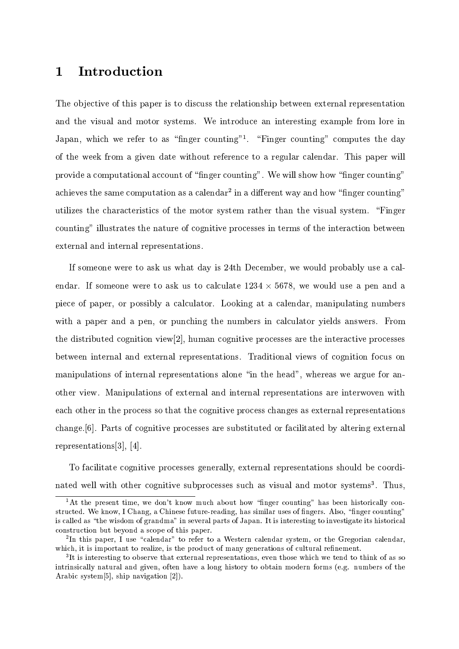### Introduction  $\mathbf{1}$

The objective of this paper is to discuss the relationship between external representation and the visual and motor systems. We introduce an interesting example from lore in Japan, which we refer to as "finger counting"<sup>1</sup>. "Finger counting" computes the day of the week from a given date without reference to a regular calendar. This paper will provide a computational account of "finger counting". We will show how "finger counting" achieves the same computation as a calendar<sup>2</sup> in a different way and how "finger counting" utilizes the characteristics of the motor system rather than the visual system. "Finger counting" illustrates the nature of cognitive processes in terms of the interaction between external and internal representations.

If someone were to ask us what day is 24th December, we would probably use a calendar. If someone were to ask us to calculate  $1234 \times 5678$ , we would use a pen and a piece of paper, or possibly a calculator. Looking at a calendar, manipulating numbers with a paper and a pen, or punching the numbers in calculator yields answers. From the distributed cognition view  $[2]$ , human cognitive processes are the interactive processes between internal and external representations. Traditional views of cognition focus on manipulations of internal representations alone "in the head", whereas we argue for another view. Manipulations of external and internal representations are interwoven with each other in the process so that the cognitive process changes as external representations change. [6]. Parts of cognitive processes are substituted or facilitated by altering external representations [3], [4].

To facilitate cognitive processes generally, external representations should be coordinated well with other cognitive subprocesses such as visual and motor systems<sup>3</sup>. Thus,

<sup>&</sup>lt;sup>1</sup>At the present time, we don't know much about how "finger counting" has been historically constructed. We know, I Chang, a Chinese future-reading, has similar uses of fingers. Also, "finger counting" is called as "the wisdom of grandma" in several parts of Japan. It is interesting to investigate its historical construction but beyond a scope of this paper.

<sup>&</sup>lt;sup>2</sup>In this paper, I use "calendar" to refer to a Western calendar system, or the Gregorian calendar, which, it is important to realize, is the product of many generations of cultural refinement.

<sup>&</sup>lt;sup>3</sup>It is interesting to observe that external representations, even those which we tend to think of as so intrinsically natural and given, often have a long history to obtain modern forms (e.g. numbers of the Arabic system<sup>[5]</sup>, ship navigation [2]).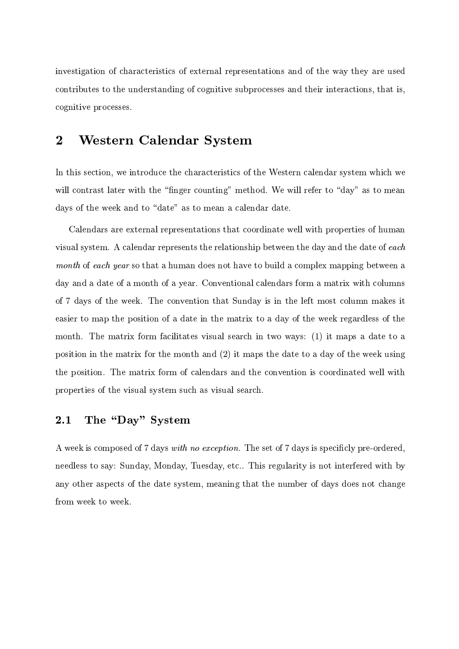investigation of characteristics of external representations and of the way they are used contributes to the understanding of cognitive subprocesses and their interactions, that is, cognitive processes.

### $\overline{2}$ **Western Calendar System**

In this section, we introduce the characteristics of the Western calendar system which we will contrast later with the "finger counting" method. We will refer to "day" as to mean days of the week and to "date" as to mean a calendar date.

Calendars are external representations that coordinate well with properties of human visual system. A calendar represents the relationship between the day and the date of each month of each year so that a human does not have to build a complex mapping between a day and a date of a month of a year. Conventional calendars form a matrix with columns of 7 days of the week. The convention that Sunday is in the left most column makes it easier to map the position of a date in the matrix to a day of the week regardless of the month. The matrix form facilitates visual search in two ways: (1) it maps a date to a position in the matrix for the month and  $(2)$  it maps the date to a day of the week using the position. The matrix form of calendars and the convention is coordinated well with properties of the visual system such as visual search.

#### The "Day" System  $2.1$

A week is composed of 7 days with no exception. The set of 7 days is specificly pre-ordered, needless to say: Sunday, Monday, Tuesday, etc.. This regularity is not interfered with by any other aspects of the date system, meaning that the number of days does not change from week to week.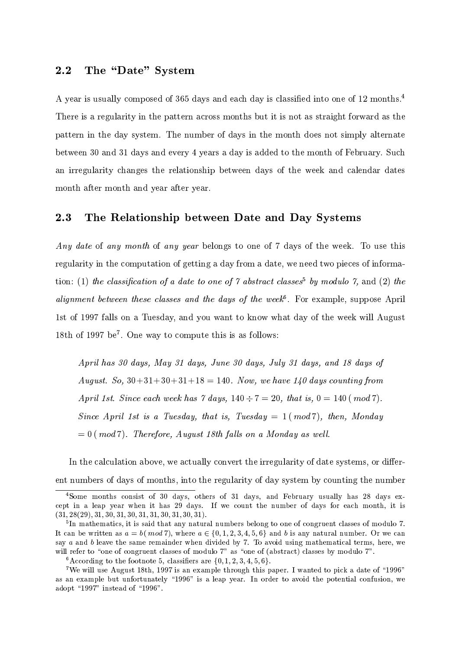#### $2.2$ The "Date" System

A year is usually composed of 365 days and each day is classified into one of 12 months.<sup>4</sup> There is a regularity in the pattern across months but it is not as straight forward as the pattern in the day system. The number of days in the month does not simply alternate between 30 and 31 days and every 4 years a day is added to the month of February. Such an irregularity changes the relationship between days of the week and calendar dates month after month and year after year.

#### $2.3$ The Relationship between Date and Day Systems

Any date of any month of any year belongs to one of 7 days of the week. To use this regularity in the computation of getting a day from a date, we need two pieces of information: (1) the classification of a date to one of 7 abstract classes<sup>5</sup> by modulo 7, and (2) the *alignment between these classes and the days of the week*<sup>6</sup>. For example, suppose April 1st of 1997 falls on a Tuesday, and you want to know what day of the week will August 18th of 1997 be<sup>7</sup>. One way to compute this is as follows:

April has 30 days, May 31 days, June 30 days, July 31 days, and 18 days of August. So,  $30+31+30+31+18 = 140$ . Now, we have  $140$  days counting from April 1st. Since each week has  $\gamma$  days,  $140 \div 7 = 20$ , that is,  $0 = 140 \ (mod 7)$ . Since April 1st is a Tuesday, that is, Tuesday  $= 1 \pmod{7}$ , then, Monday  $= 0$  (mod 7). Therefore, August 18th falls on a Monday as well.

In the calculation above, we actually convert the irregularity of date systems, or different numbers of days of months, into the regularity of day system by counting the number

<sup>&</sup>lt;sup>4</sup>Some months consist of 30 days, others of 31 days, and February usually has 28 days except in a leap year when it has 29 days. If we count the number of days for each month, it is  $(31, 28(29), 31, 30, 31, 30, 31, 31, 30, 31, 30, 31).$ 

 $5\text{In mathematics, it is said that any natural numbers belong to one of congruent classes of modulo 7.}$ It can be written as  $a = b \ (mod 7)$ , where  $a \in \{0, 1, 2, 3, 4, 5, 6\}$  and b is any natural number. Or we can say  $a$  and  $b$  leave the same remainder when divided by 7. To avoid using mathematical terms, here, we will refer to "one of congruent classes of modulo 7" as "one of (abstract) classes by modulo 7".

<sup>&</sup>lt;sup>6</sup>According to the footnote 5, classifiers are  $\{0, 1, 2, 3, 4, 5, 6\}$ .

<sup>&</sup>lt;sup>7</sup>We will use August 18th, 1997 is an example through this paper. I wanted to pick a date of "1996" as an example but unfortunately "1996" is a leap year. In order to avoid the potential confusion, we adopt "1997" instead of "1996".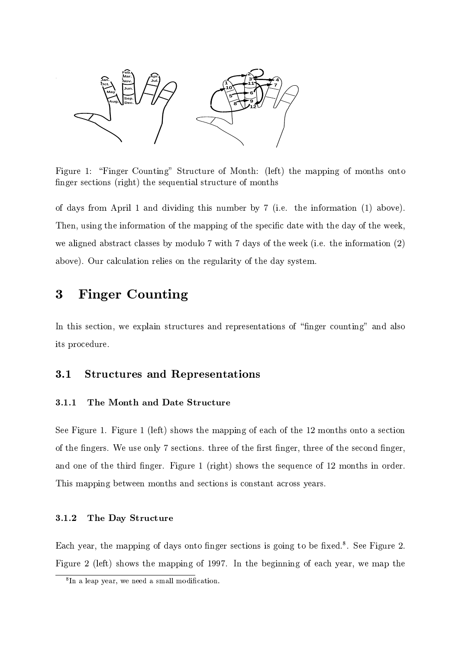

Figure 1: "Finger Counting" Structure of Month: (left) the mapping of months onto finger sections (right) the sequential structure of months

of days from April 1 and dividing this number by 7 (i.e. the information (1) above). Then, using the information of the mapping of the specific date with the day of the week, we aligned abstract classes by modulo 7 with 7 days of the week (i.e. the information  $(2)$ ) above). Our calculation relies on the regularity of the day system.

### **Finger Counting** 3

In this section, we explain structures and representations of "finger counting" and also its procedure.

#### $3.1$ **Structures and Representations**

#### $3.1.1$ The Month and Date Structure

See Figure 1. Figure 1 (left) shows the mapping of each of the 12 months onto a section of the fingers. We use only 7 sections, three of the first finger, three of the second finger, and one of the third finger. Figure 1 (right) shows the sequence of 12 months in order. This mapping between months and sections is constant across years.

#### $3.1.2$ The Day Structure

Each year, the mapping of days onto finger sections is going to be fixed.<sup>8</sup>. See Figure 2. Figure 2 (left) shows the mapping of 1997. In the beginning of each year, we map the

 ${}^{8}$ In a leap year, we need a small modification.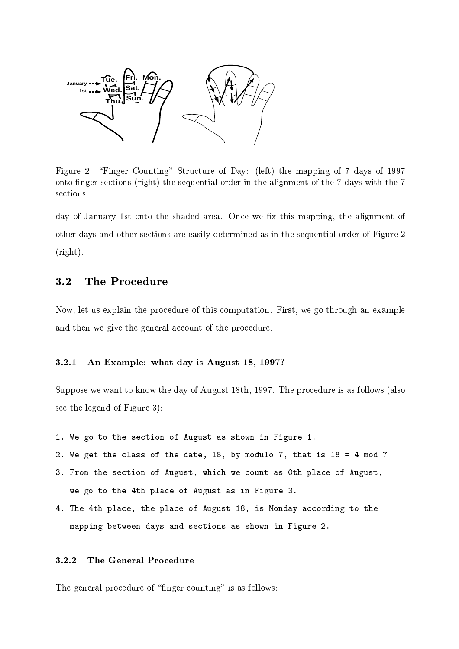

Figure 2: "Finger Counting" Structure of Day: (left) the mapping of 7 days of 1997 onto finger sections (right) the sequential order in the alignment of the 7 days with the 7 sections

day of January 1st onto the shaded area. Once we fix this mapping, the alignment of other days and other sections are easily determined as in the sequential order of Figure 2  $(right).$ 

#### $3.2$ The Procedure

Now, let us explain the procedure of this computation. First, we go through an example and then we give the general account of the procedure.

#### $3.2.1$ An Example: what day is August 18, 1997?

Suppose we want to know the day of August 18th, 1997. The procedure is as follows (also see the legend of Figure 3):

- 1. We go to the section of August as shown in Figure 1.
- 2. We get the class of the date, 18, by modulo 7, that is 18 = 4 mod 7
- 3. From the section of August, which we count as Oth place of August, we go to the 4th place of August as in Figure 3.
- 4. The 4th place, the place of August 18, is Monday according to the mapping between days and sections as shown in Figure 2.

#### $3.2.2$ The General Procedure

The general procedure of "finger counting" is as follows: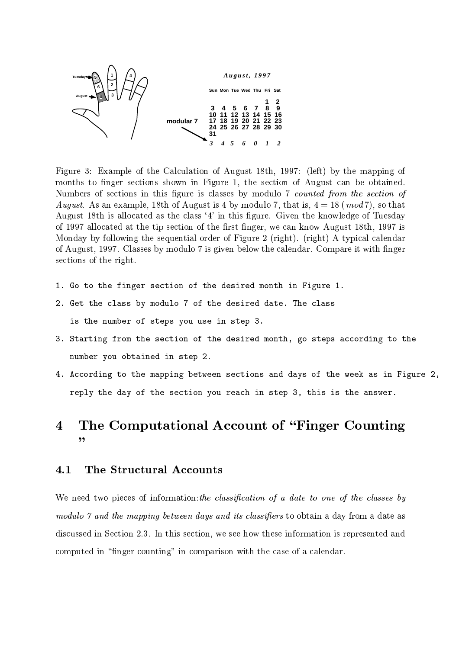

- )6?
- - 3 4 (- (::,6 7- 8 -  - - - ( - - 4 - - @- - - - , - -  $\ldots$  ,  $\ldots$  ,  $\ldots$  ,  $\ldots$  ,  $\ldots$  ,  $\ldots$  ,  $\ldots$  ,  $\ldots$  ,  $\ldots$  ,  $\ldots$  ,  $\ldots$  ,  $\ldots$  ,  $\ldots$  ,  $\ldots$  ,  $\ldots$  $\mathbf{A}$  (::, - -  - - - - 4 (- (::, 1 - ->- - - \$ 78 78 <sup>4</sup>  - 4 (::, 3
- , - - - 
- 3
- - - -

- #
- #  !
- $\mathbf{A}$
- %

## $\overline{4}$   - - - - -  $, ,$

# $4.1$

- -- -- 6 -- - - 

 also above all socialist microsime security we see ifon these informations is to probably when - - 
 - 
- -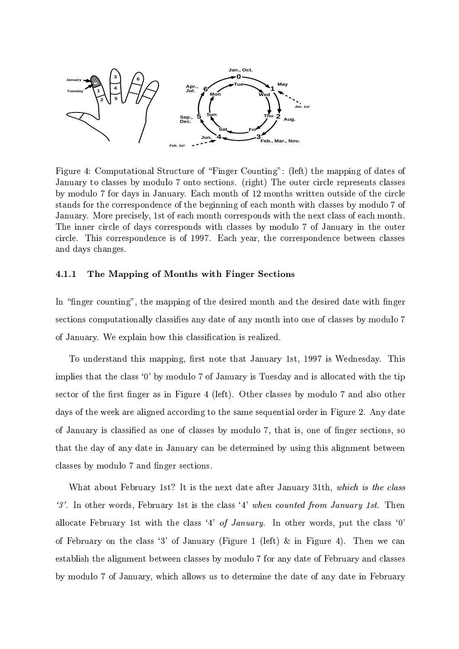

- %6 3 5- - 36 7- 8 -  - - , - 78 - - - --- -  $\sim$  , interacted a set was positively. Indicated the set in the set  $\sim$  interaction of the set of the set of  $\sim$  - --- - - - 
- , , and it is a constructed to the contract of the correct control in the state of the state of the street of the state of the state of the state of the state of the state of the state of the state of the state of the state - - - - - , - and the contract of the contract of the contract of the contract of the contract of the contract of the contract of the contract of the contract of the contract of the contract of the contract of the contract of the contra  $\alpha$ .  $\alpha$   $\alpha$  ,  $\beta$   $\alpha$   $\alpha$ .  $\alpha$   $\alpha$   $\alpha$   $\beta$ 

# The Mapping of Months with Finger Sections

# - -  - -- - -- - - - 

- 

- 
 - 
- ,  $\sim$  .  $\sim$  . The criptwill how this classified is realized.

 -  - ( (::, -- - 
 - 
 A9B , 

 - 

- -  - - - - % 7- 8 ;- - , - - -- 
- 
- 
 - 
- ->- - - \$ 4 
- $\blacksquare$  . The set of the set of the set of the set of the set of the set of the set of the set of the set of the set of the set of the set of the set of the set of the set of the set of the set of the set of the set of the - 
- - --- - --- - , - -

 - (D # - - - - )( - -  $\mathscr{L}$ . In other words, February 1st is the class  $\mathscr{L}$  when counted from January 1st. Then - - ( - A%B # -  - A9B - - A)B 7- ( 7- 8 <sup>E</sup> - %8 - - - - 
- --- 
- , 

- - 

- , --- - - - -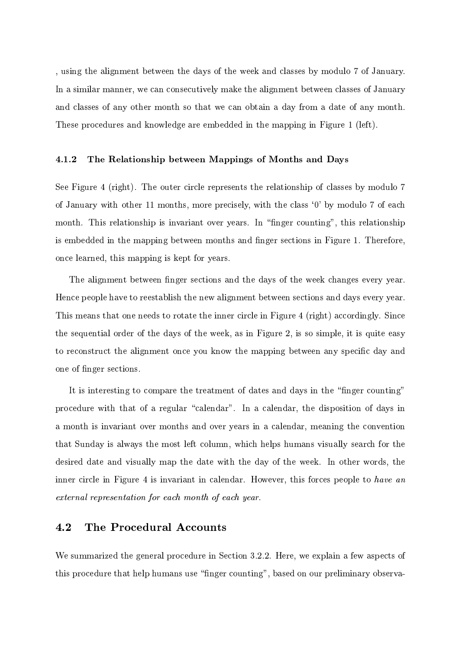, using the alignment between the days of the week and classes by modulo 7 of January. In a similar manner, we can consecutively make the alignment between classes of January and classes of any other month so that we can obtain a day from a date of any month. These procedures and knowledge are embedded in the mapping in Figure 1 (left).

#### 4.1.2 The Relationship between Mappings of Months and Days

See Figure 4 (right). The outer circle represents the relationship of classes by modulo 7 of January with other 11 months, more precisely, with the class '0' by modulo 7 of each month. This relationship is invariant over years. In "finger counting", this relationship is embedded in the mapping between months and finger sections in Figure 1. Therefore, once learned, this mapping is kept for years.

The alignment between finger sections and the days of the week changes every year. Hence people have to reestablish the new alignment between sections and days every year. This means that one needs to rotate the inner circle in Figure 4 (right) accordingly. Since the sequential order of the days of the week, as in Figure 2, is so simple, it is quite easy to reconstruct the alignment once you know the mapping between any specific day and one of finger sections.

It is interesting to compare the treatment of dates and days in the "finger counting" procedure with that of a regular "calendar". In a calendar, the disposition of days in a month is invariant over months and over years in a calendar, meaning the convention that Sunday is always the most left column, which helps humans visually search for the desired date and visually map the date with the day of the week. In other words, the inner circle in Figure 4 is invariant in calendar. However, this forces people to have an external representation for each month of each year.

#### 4.2 The Procedural Accounts

We summarized the general procedure in Section 3.2.2. Here, we explain a few aspects of this procedure that help humans use "finger counting", based on our preliminary observa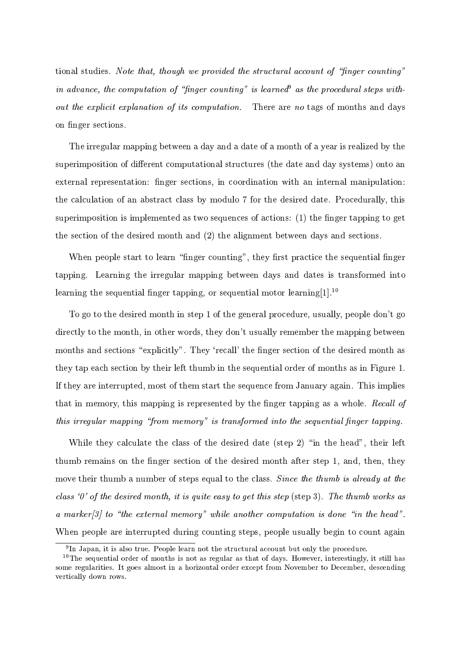tional studies. Note that, though we provided the structural account of "finger counting" in advance, the computation of "finger counting" is learned as the procedural steps without the explicit explanation of its computation. There are no tags of months and days on finger sections.

The irregular mapping between a day and a date of a month of a year is realized by the superimposition of different computational structures (the date and day systems) onto an external representation: finger sections, in coordination with an internal manipulation: the calculation of an abstract class by modulo 7 for the desired date. Procedurally, this superimposition is implemented as two sequences of actions: (1) the finger tapping to get the section of the desired month and  $(2)$  the alignment between days and sections.

When people start to learn "finger counting", they first practice the sequential finger tapping. Learning the irregular mapping between days and dates is transformed into learning the sequential finger tapping, or sequential motor learning  $[1]$ .<sup>10</sup>

To go to the desired month in step 1 of the general procedure, usually, people don't go directly to the month, in other words, they don't usually remember the mapping between months and sections "explicitly". They 'recall' the finger section of the desired month as they tap each section by their left thumb in the sequential order of months as in Figure 1. If they are interrupted, most of them start the sequence from January again. This implies that in memory, this mapping is represented by the finger tapping as a whole. Recall of this irregular mapping "from memory" is transformed into the sequential finger tapping.

While they calculate the class of the desired date (step 2) "in the head", their left thumb remains on the finger section of the desired month after step 1, and, then, they move their thumb a number of steps equal to the class. Since the thumb is already at the class '0' of the desired month, it is quite easy to get this step (step 3). The thumb works as a marker $[3]$  to "the external memory" while another computation is done "in the head". When people are interrupted during counting steps, people usually begin to count again

<sup>&</sup>lt;sup>9</sup>In Japan, it is also true. People learn not the structural account but only the procedure.

<sup>&</sup>lt;sup>10</sup>The sequential order of months is not as regular as that of days. However, interestingly, it still has some regularities. It goes almost in a horizontal order except from November to December, descending vertically down rows.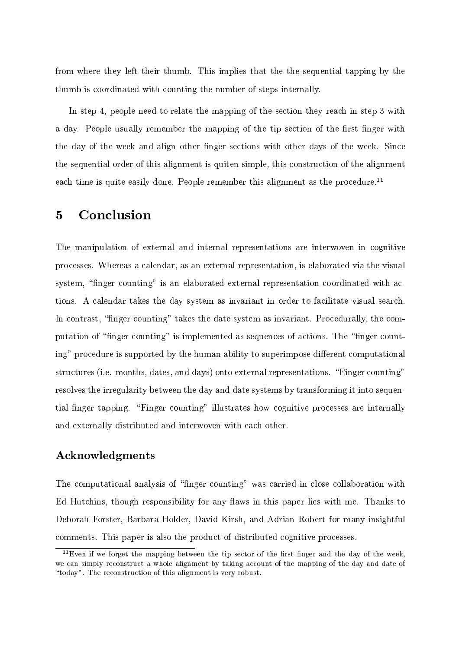from where they left their thumb. This implies that the the sequential tapping by the thumb is coordinated with counting the number of steps internally.

In step 4, people need to relate the mapping of the section they reach in step 3 with a day. People usually remember the mapping of the tip section of the first finger with the day of the week and align other finger sections with other days of the week. Since the sequential order of this alignment is quiten simple, this construction of the alignment each time is quite easily done. People remember this alignment as the procedure.<sup>11</sup>

## Conclusion  $\overline{5}$

The manipulation of external and internal representations are interwoven in cognitive processes. Whereas a calendar, as an external representation, is elaborated via the visual system, "finger counting" is an elaborated external representation coordinated with actions. A calendar takes the day system as invariant in order to facilitate visual search. In contrast, "finger counting" takes the date system as invariant. Procedurally, the computation of "finger counting" is implemented as sequences of actions. The "finger counting" procedure is supported by the human ability to superimpose different computational structures (i.e. months, dates, and days) onto external representations. "Finger counting" resolves the irregularity between the day and date systems by transforming it into sequential finger tapping. "Finger counting" illustrates how cognitive processes are internally and externally distributed and interwoven with each other.

# Acknowledgments

The computational analysis of "finger counting" was carried in close collaboration with Ed Hutchins, though responsibility for any flaws in this paper lies with me. Thanks to Deborah Forster, Barbara Holder, David Kirsh, and Adrian Robert for many insightful comments. This paper is also the product of distributed cognitive processes.

 $11$ Even if we forget the mapping between the tip sector of the first finger and the day of the week, we can simply reconstruct a whole alignment by taking account of the mapping of the day and date of "today". The reconstruction of this alignment is very robust.